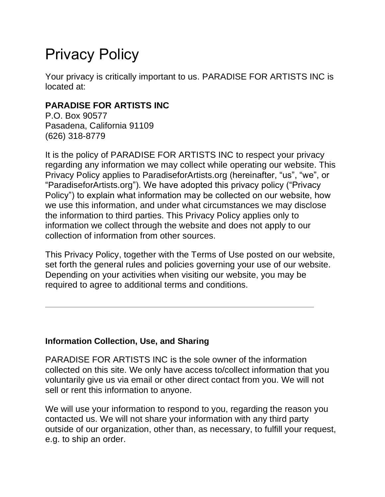# Privacy Policy

Your privacy is critically important to us. PARADISE FOR ARTISTS INC is located at:

# **PARADISE FOR ARTISTS INC**

P.O. Box 90577 Pasadena, California 91109 (626) 318-8779

It is the policy of PARADISE FOR ARTISTS INC to respect your privacy regarding any information we may collect while operating our website. This Privacy Policy applies to ParadiseforArtists.org (hereinafter, "us", "we", or "ParadiseforArtists.org"). We have adopted this privacy policy ("Privacy Policy") to explain what information may be collected on our website, how we use this information, and under what circumstances we may disclose the information to third parties. This Privacy Policy applies only to information we collect through the website and does not apply to our collection of information from other sources.

This Privacy Policy, together with the Terms of Use posted on our website, set forth the general rules and policies governing your use of our website. Depending on your activities when visiting our website, you may be required to agree to additional terms and conditions.

# **Information Collection, Use, and Sharing**

PARADISE FOR ARTISTS INC is the sole owner of the information collected on this site. We only have access to/collect information that you voluntarily give us via email or other direct contact from you. We will not sell or rent this information to anyone.

We will use your information to respond to you, regarding the reason you contacted us. We will not share your information with any third party outside of our organization, other than, as necessary, to fulfill your request, e.g. to ship an order.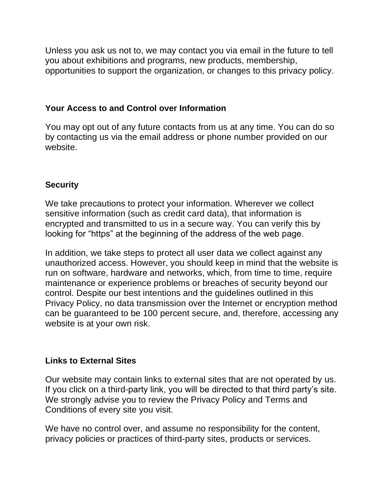Unless you ask us not to, we may contact you via email in the future to tell you about exhibitions and programs, new products, membership, opportunities to support the organization, or changes to this privacy policy.

#### **Your Access to and Control over Information**

You may opt out of any future contacts from us at any time. You can do so by contacting us via the email address or phone number provided on our website.

## **Security**

We take precautions to protect your information. Wherever we collect sensitive information (such as credit card data), that information is encrypted and transmitted to us in a secure way. You can verify this by looking for "https" at the beginning of the address of the web page.

In addition, we take steps to protect all user data we collect against any unauthorized access. However, you should keep in mind that the website is run on software, hardware and networks, which, from time to time, require maintenance or experience problems or breaches of security beyond our control. Despite our best intentions and the guidelines outlined in this Privacy Policy, no data transmission over the Internet or encryption method can be guaranteed to be 100 percent secure, and, therefore, accessing any website is at your own risk.

#### **Links to External Sites**

Our website may contain links to external sites that are not operated by us. If you click on a third-party link, you will be directed to that third party's site. We strongly advise you to review the Privacy Policy and Terms and Conditions of every site you visit.

We have no control over, and assume no responsibility for the content, privacy policies or practices of third-party sites, products or services.